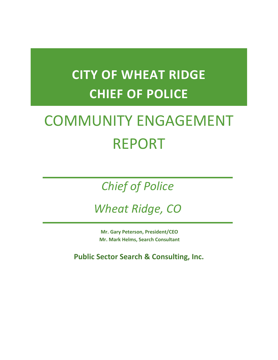# **CITY OF WHEAT RIDGE CHIEF OF POLICE**

# COMMUNITY ENGAGEMENT REPORT

## *Chief of Police*

*Wheat Ridge, CO*

**Mr. Gary Peterson, President/CEO Mr. Mark Helms, Search Consultant**

**Public Sector Search & Consulting, Inc.**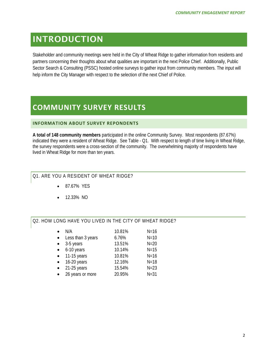## INTRODUCTION

Stakeholder and community meetings were held in the City of Wheat Ridge to gather information from residents and partners concerning their thoughts about what qualities are important in the next Police Chief. Additionally, Public Sector Search & Consulting (PSSC) hosted online surveys to gather input from community members. The input will help inform the City Manager with respect to the selection of the next Chief of Police.

## **COMMUNITY SURVEY RESULTS**

#### **INFORMATION ABOUT SURVEY REPONDENTS**

**A total of 148 community members** participated in the online Community Survey. Most respondents (87.67%) indicated they were a resident of Wheat Ridge. See Table - Q1. With respect to length of time living in Wheat Ridge, the survey respondents were a cross-section of the community. The overwhelming majority of respondents have lived in Wheat Ridge for more than ten years.

#### Q1. ARE YOU A RESIDENT OF WHEAT RIDGE?

- 87.67% YES
- 12.33% NO

#### Q2. HOW LONG HAVE YOU LIVED IN THE CITY OF WHEAT RIDGE?

|           | N/A               | 10.81% | $N = 16$ |
|-----------|-------------------|--------|----------|
|           | Less than 3 years | 6.76%  | $N=10$   |
|           | 3-5 years         | 13.51% | $N=20$   |
|           | 6-10 years        | 10.14% | $N = 15$ |
|           | 11-15 years       | 10.81% | $N = 16$ |
| $\bullet$ | 16-20 years       | 12.16% | $N = 18$ |
|           | $21-25$ years     | 15.54% | $N=23$   |
|           | 26 years or more  | 20.95% | $N = 31$ |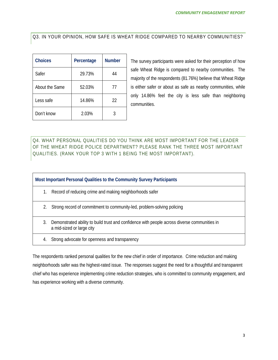Q3. IN YOUR OPINION, HOW SAFE IS WHEAT RIDGE COMPARED TO NEARBY COMMUNITIES?

| <b>Choices</b> | Percentage | <b>Number</b> |
|----------------|------------|---------------|
| Safer          | 29.73%     | 44            |
| About the Same | 52.03%     | 77            |
| Less safe      | 14.86%     | 22            |
| Don't know     | 2.03%      |               |

The survey participants were asked for their perception of how safe Wheat Ridge is compared to nearby communities. The majority of the respondents (81.76%) believe that Wheat Ridge is either safer or about as safe as nearby communities, while only 14.86% feel the city is less safe than neighboring communities.

Q4. WHAT PERSONAL QUALITIES DO YOU THINK ARE MOST IMPORTANT FOR THE LEADER OF THE WHEAT RIDGE POLICE DEPARTMENT? PLEASE RANK THE THREE MOST IMPORTANT QUALITIES. (RANK YOUR TOP 3 WITH 1 BEING THE MOST IMPORTANT).

**Most Important Personal Qualities to the Community Survey Participants**

- 1. Record of reducing crime and making neighborhoods safer
- 2. Strong record of commitment to community-led, problem-solving policing
- 3. Demonstrated ability to build trust and confidence with people across diverse communities in a mid-sized or large city
- 4. Strong advocate for openness and transparency

The respondents ranked personal qualities for the new chief in order of importance. Crime reduction and making neighborhoods safer was the highest-rated issue. The responses suggest the need for a thoughtful and transparent chief who has experience implementing crime reduction strategies, who is committed to community engagement, and has experience working with a diverse community.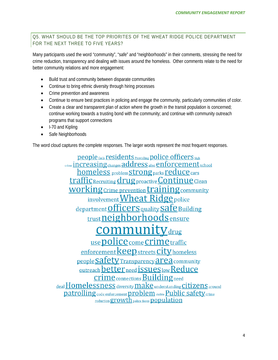#### Q5. WHAT SHOULD BE THE TOP PRIORITES OF THE WHEAT RIDGE POLICE DEPARTMENT FOR THE NEXT THREE TO FIVE YEARS?

Many participants used the word "community", "safe" and "neighborhoods" in their comments, stressing the need for crime reduction, transparency and dealing with issues around the homeless. Other comments relate to the need for better community relations and more engagement:

- Build trust and community between disparate communities
- Continue to bring ethnic diversity through hiring processes
- Crime prevention and awareness
- Continue to ensure best practices in policing and engage the community, particularly communities of color.
- Create a clear and transparent plan of action where the growth in the transit population is concerned; continue working towards a trusting bond with the community; and continue with community outreach programs that support connections
- I-70 and Kipling
- Safe Neighborhoods

The word cloud captures the complete responses. The larger words represent the most frequent responses.

**people** feels **residents** Providing **police officers** high crime increasing changes address also enforcement school homeless problem strong parks reduce cars **traffic** Recruiting drug proactive Continue Clean **WOTKING** Crime prevention **training** community involvement Wheat Ridge police department Officers quality Safe Building trust neighborhoods ensure muni  $V_{\text{drug}}$ use police come crime traffic enforcement **keep** streets **City** homeless people Safety Transparency area community <u>outreach better need issues low Reduce</u> **crime** connections **Building** need deal Homelessness diversity make understanding citizens around patrolling code enforcement problem visible Public safety crime reduction growth police force population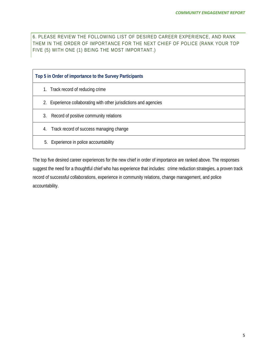6. PLEASE REVIEW THE FOLLOWING LIST OF DESIRED CAREER EXPERIENCE, AND RANK THEM IN THE ORDER OF IMPORTANCE FOR THE NEXT CHIEF OF POLICE (RANK YOUR TOP FIVE (5) WITH ONE (1) BEING THE MOST IMPORTANT.)

| Top 5 in Order of importance to the Survey Participants           |  |  |  |
|-------------------------------------------------------------------|--|--|--|
| 1. Track record of reducing crime                                 |  |  |  |
| 2. Experience collaborating with other jurisdictions and agencies |  |  |  |
| Record of positive community relations<br>3.                      |  |  |  |
| Track record of success managing change<br>4.                     |  |  |  |
| Experience in police accountability<br>5.                         |  |  |  |

The top five desired career experiences for the new chief in order of importance are ranked above. The responses suggest the need for a thoughtful chief who has experience that includes: crime reduction strategies, a proven track record of successful collaborations, experience in community relations, change management, and police accountability.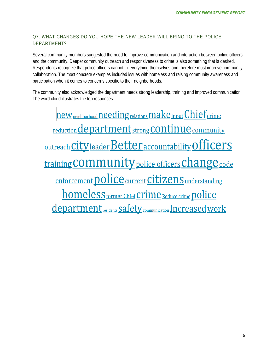#### Q7. WHAT CHANGES DO YOU HOPE THE NEW LEADER WILL BRING TO THE POLICE DEPARTMENT?

Several community members suggested the need to improve communication and interaction between police officers and the community. Deeper community outreach and responsiveness to crime is also something that is desired. Respondents recognize that police officers cannot fix everything themselves and therefore must improve community collaboration. The most concrete examples included issues with homeless and raising community awareness and participation when it comes to concerns specific to their neighborhoods.

The community also acknowledged the department needs strong leadership, training and improved communication. The word cloud illustrates the top responses.

**new** neighborhood needing relations make input Chief crime <u>reduction</u> department<sub>strong</sub> continue community <u>outreach City leader Better accountability Officers</u> <u>training COMMUNİty police officers Change code</u> enforcement **police** current **Citizens** understanding <u>homeless former Chief Crime Reduce crime police</u> department residents Safety communication Increased work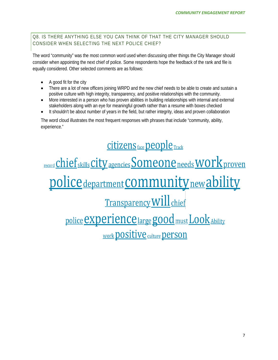Q8. IS THERE ANYTHING ELSE YOU CAN THINK OF THAT THE CITY MANAGER SHOULD CONSIDER WHEN SELECTING THE NEXT POLICE CHIEF?

The word "community" was the most common word used when discussing other things the City Manager should consider when appointing the next chief of police. Some respondents hope the feedback of the rank and file is equally considered. Other selected comments are as follows:

- A good fit for the city
- There are a lot of new officers joining WRPD and the new chief needs to be able to create and sustain a positive culture with high integrity, transparency, and positive relationships with the community.
- More interested in a person who has proven abilities in building relationships with internal and external stakeholders along with an eye for meaningful growth rather than a resume with boxes checked
- It shouldn't be about number of years in the field, but rather integrity, ideas and proven collaboration

The word cloud illustrates the most frequent responses with phrases that include "community, ability, experience."

<u>Citizens face people Track</u> <u>record Chief skills City agencies Someone needs WOrk proven</u> <u>police department COMMUNity new ability</u> Transparency Will chief police **experience** large good must Look Ability Work **positive** culture **person**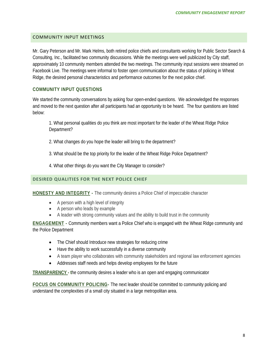#### COMMUNITY INPUT MEETINGS

Mr. Gary Peterson and Mr. Mark Helms, both retired police chiefs and consultants working for Public Sector Search & Consulting, Inc., facilitated two community discussions. While the meetings were well publicized by City staff, approximately 10 community members attended the two meetings. The community input sessions were streamed on Facebook Live. The meetings were informal to foster open communication about the status of policing in Wheat Ridge, the desired personal characteristics and performance outcomes for the next police chief.

#### **COMMUNITY INPUT QUESTIONS**

We started the community conversations by asking four open-ended questions. We acknowledged the responses and moved to the next question after all participants had an opportunity to be heard. The four questions are listed below:

1. What personal qualities do you think are most important for the leader of the Wheat Ridge Police Department?

- 2. What changes do you hope the leader will bring to the department?
- 3. What should be the top priority for the leader of the Wheat Ridge Police Department?
- 4. What other things do you want the City Manager to consider?

#### **DESIRED QUALITIES FOR THE NEXT POLICE CHIEF**

**HONESTY AND INTEGRITY -** The community desires a Police Chief of impeccable character

- A person with a high level of integrity
- A person who leads by example
- A leader with strong community values and the ability to build trust in the community

**ENGAGEMENT -** Community members want a Police Chief who is engaged with the Wheat Ridge community and the Police Department

- The Chief should Introduce new strategies for reducing crime
- Have the ability to work successfully in a diverse community
- A team player who collaborates with community stakeholders and regional law enforcement agencies
- Addresses staff needs and helps develop employees for the future

**TRANSPARENCY - t**he community desires a leader who is an open and engaging communicator

**FOCUS ON COMMUNITY POLICING-** The next leader should be committed to community policing and understand the complexities of a small city situated in a large metropolitan area.